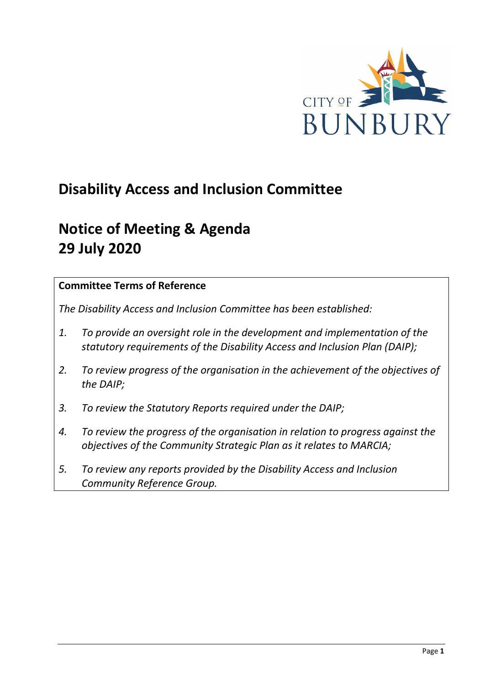

# **Disability Access and Inclusion Committee**

# **Notice of Meeting & Agenda 29 July 2020**

## **Committee Terms of Reference**

*The Disability Access and Inclusion Committee has been established:* 

- *1. To provide an oversight role in the development and implementation of the statutory requirements of the Disability Access and Inclusion Plan (DAIP);*
- *2. To review progress of the organisation in the achievement of the objectives of the DAIP;*
- *3. To review the Statutory Reports required under the DAIP;*
- *4. To review the progress of the organisation in relation to progress against the objectives of the Community Strategic Plan as it relates to MARCIA;*
- *5. To review any reports provided by the Disability Access and Inclusion Community Reference Group.*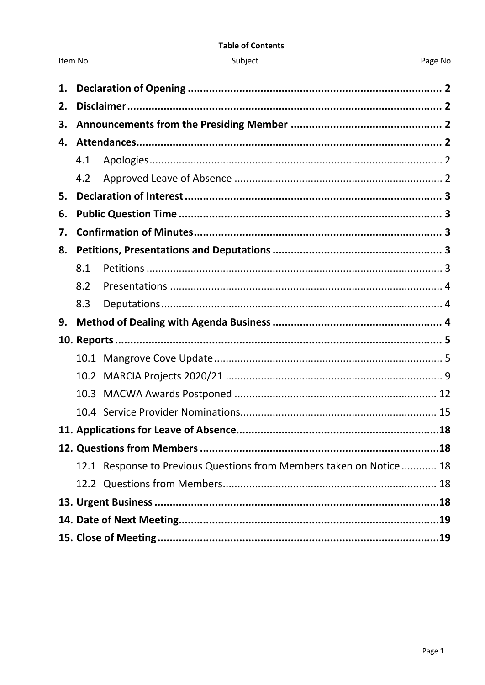#### **Table of Contents**

| ubie |  |
|------|--|
|      |  |
|      |  |

Item No

#### Page No

| 1. |      |                                                                     |  |
|----|------|---------------------------------------------------------------------|--|
| 2. |      |                                                                     |  |
| 3. |      |                                                                     |  |
| 4. |      |                                                                     |  |
|    | 4.1  |                                                                     |  |
|    | 4.2  |                                                                     |  |
| 5. |      |                                                                     |  |
| 6. |      |                                                                     |  |
| 7. |      |                                                                     |  |
| 8. |      |                                                                     |  |
|    | 8.1  |                                                                     |  |
|    | 8.2  |                                                                     |  |
|    | 8.3  |                                                                     |  |
| 9. |      |                                                                     |  |
|    |      |                                                                     |  |
|    |      |                                                                     |  |
|    |      |                                                                     |  |
|    |      |                                                                     |  |
|    | 10.3 |                                                                     |  |
|    |      |                                                                     |  |
|    |      |                                                                     |  |
|    |      |                                                                     |  |
|    |      | 12.1 Response to Previous Questions from Members taken on Notice 18 |  |
|    |      |                                                                     |  |
|    |      |                                                                     |  |
|    |      |                                                                     |  |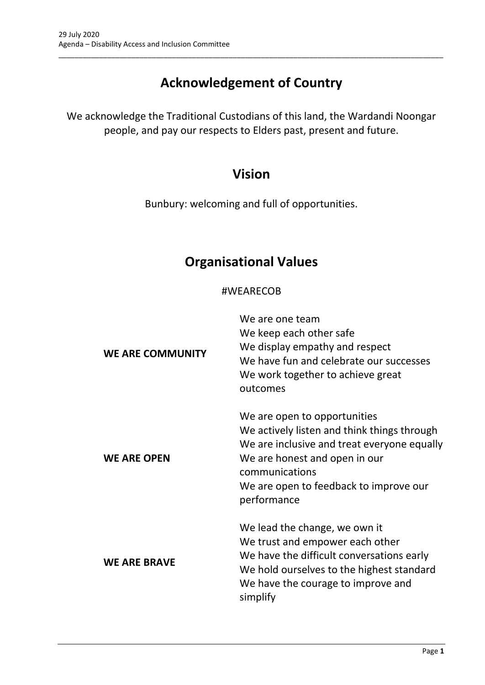# **Acknowledgement of Country**

\_\_\_\_\_\_\_\_\_\_\_\_\_\_\_\_\_\_\_\_\_\_\_\_\_\_\_\_\_\_\_\_\_\_\_\_\_\_\_\_\_\_\_\_\_\_\_\_\_\_\_\_\_\_\_\_\_\_\_\_\_\_\_\_\_\_\_\_\_\_\_\_\_\_\_\_\_\_\_\_\_\_\_\_\_\_\_\_\_\_\_\_\_\_\_

We acknowledge the Traditional Custodians of this land, the Wardandi Noongar people, and pay our respects to Elders past, present and future.

## **Vision**

Bunbury: welcoming and full of opportunities.

# **Organisational Values**

## #WEARECOB

| <b>WE ARE COMMUNITY</b> | We are one team<br>We keep each other safe<br>We display empathy and respect<br>We have fun and celebrate our successes<br>We work together to achieve great<br>outcomes                                                               |
|-------------------------|----------------------------------------------------------------------------------------------------------------------------------------------------------------------------------------------------------------------------------------|
| <b>WE ARE OPEN</b>      | We are open to opportunities<br>We actively listen and think things through<br>We are inclusive and treat everyone equally<br>We are honest and open in our<br>communications<br>We are open to feedback to improve our<br>performance |
| <b>WE ARE BRAVE</b>     | We lead the change, we own it<br>We trust and empower each other<br>We have the difficult conversations early<br>We hold ourselves to the highest standard<br>We have the courage to improve and<br>simplify                           |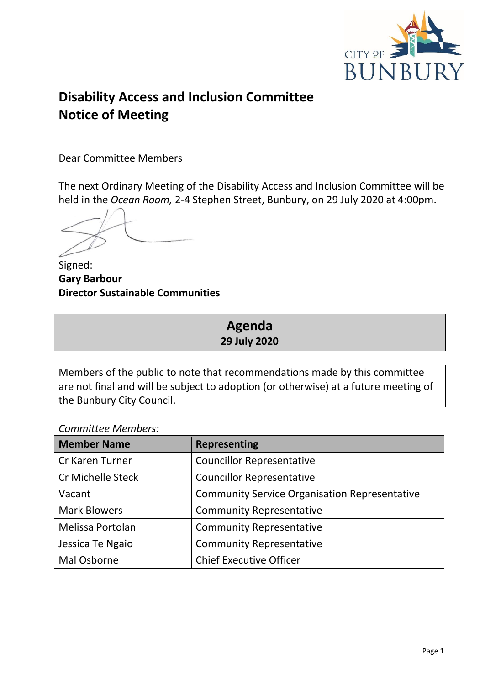

# **Disability Access and Inclusion Committee Notice of Meeting**

Dear Committee Members

The next Ordinary Meeting of the Disability Access and Inclusion Committee will be held in the *Ocean Room,* 2-4 Stephen Street, Bunbury, on 29 July 2020 at 4:00pm.

Signed: **Gary Barbour Director Sustainable Communities**

## **Agenda 29 July 2020**

Members of the public to note that recommendations made by this committee are not final and will be subject to adoption (or otherwise) at a future meeting of the Bunbury City Council.

*Committee Members:*

| <b>Member Name</b>       | <b>Representing</b>                                  |
|--------------------------|------------------------------------------------------|
| Cr Karen Turner          | <b>Councillor Representative</b>                     |
| <b>Cr Michelle Steck</b> | <b>Councillor Representative</b>                     |
| Vacant                   | <b>Community Service Organisation Representative</b> |
| <b>Mark Blowers</b>      | <b>Community Representative</b>                      |
| Melissa Portolan         | <b>Community Representative</b>                      |
| Jessica Te Ngaio         | <b>Community Representative</b>                      |
| Mal Osborne              | <b>Chief Executive Officer</b>                       |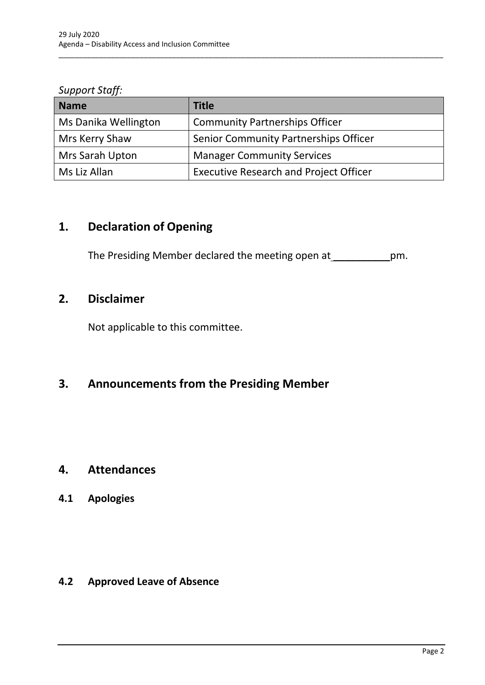*Support Staff:*

| <b>Name</b>          | <b>Title</b>                                  |
|----------------------|-----------------------------------------------|
| Ms Danika Wellington | <b>Community Partnerships Officer</b>         |
| Mrs Kerry Shaw       | Senior Community Partnerships Officer         |
| Mrs Sarah Upton      | <b>Manager Community Services</b>             |
| Ms Liz Allan         | <b>Executive Research and Project Officer</b> |

\_\_\_\_\_\_\_\_\_\_\_\_\_\_\_\_\_\_\_\_\_\_\_\_\_\_\_\_\_\_\_\_\_\_\_\_\_\_\_\_\_\_\_\_\_\_\_\_\_\_\_\_\_\_\_\_\_\_\_\_\_\_\_\_\_\_\_\_\_\_\_\_\_\_\_\_\_\_\_\_\_\_\_\_\_\_\_\_\_\_\_\_\_\_\_

## <span id="page-4-0"></span>**1. Declaration of Opening**

The Presiding Member declared the meeting open at \_\_\_\_\_\_\_\_\_\_\_\_\_pm.

## <span id="page-4-1"></span>**2. Disclaimer**

Not applicable to this committee.

## <span id="page-4-2"></span>**3. Announcements from the Presiding Member**

## <span id="page-4-3"></span>**4. Attendances**

## <span id="page-4-4"></span>**4.1 Apologies**

## <span id="page-4-5"></span>**4.2 Approved Leave of Absence**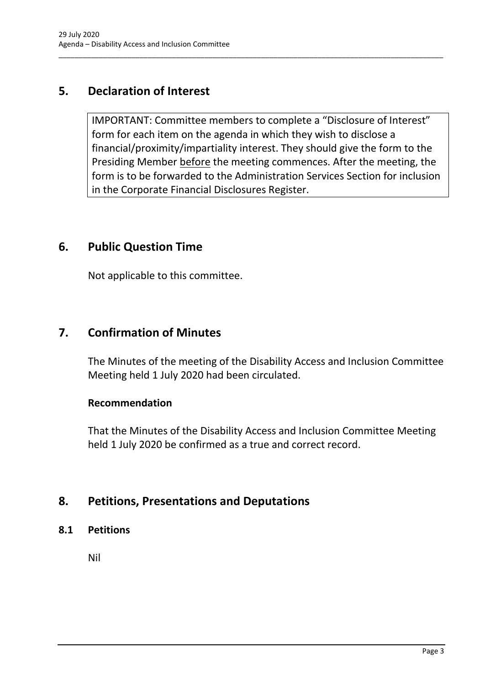## <span id="page-5-0"></span>**5. Declaration of Interest**

IMPORTANT: Committee members to complete a "Disclosure of Interest" form for each item on the agenda in which they wish to disclose a financial/proximity/impartiality interest. They should give the form to the Presiding Member before the meeting commences. After the meeting, the form is to be forwarded to the Administration Services Section for inclusion in the Corporate Financial Disclosures Register.

\_\_\_\_\_\_\_\_\_\_\_\_\_\_\_\_\_\_\_\_\_\_\_\_\_\_\_\_\_\_\_\_\_\_\_\_\_\_\_\_\_\_\_\_\_\_\_\_\_\_\_\_\_\_\_\_\_\_\_\_\_\_\_\_\_\_\_\_\_\_\_\_\_\_\_\_\_\_\_\_\_\_\_\_\_\_\_\_\_\_\_\_\_\_\_

## <span id="page-5-1"></span>**6. Public Question Time**

Not applicable to this committee.

## <span id="page-5-2"></span>**7. Confirmation of Minutes**

The Minutes of the meeting of the Disability Access and Inclusion Committee Meeting held 1 July 2020 had been circulated.

## **Recommendation**

That the Minutes of the Disability Access and Inclusion Committee Meeting held 1 July 2020 be confirmed as a true and correct record.

## <span id="page-5-3"></span>**8. Petitions, Presentations and Deputations**

<span id="page-5-4"></span>**8.1 Petitions**

Nil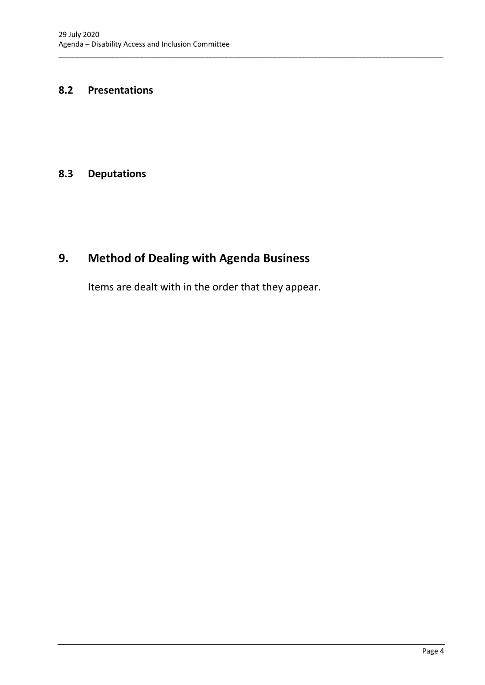#### <span id="page-6-0"></span>**8.2 Presentations**

#### <span id="page-6-1"></span>**8.3 Deputations**

# <span id="page-6-2"></span>**9. Method of Dealing with Agenda Business**

Items are dealt with in the order that they appear.

\_\_\_\_\_\_\_\_\_\_\_\_\_\_\_\_\_\_\_\_\_\_\_\_\_\_\_\_\_\_\_\_\_\_\_\_\_\_\_\_\_\_\_\_\_\_\_\_\_\_\_\_\_\_\_\_\_\_\_\_\_\_\_\_\_\_\_\_\_\_\_\_\_\_\_\_\_\_\_\_\_\_\_\_\_\_\_\_\_\_\_\_\_\_\_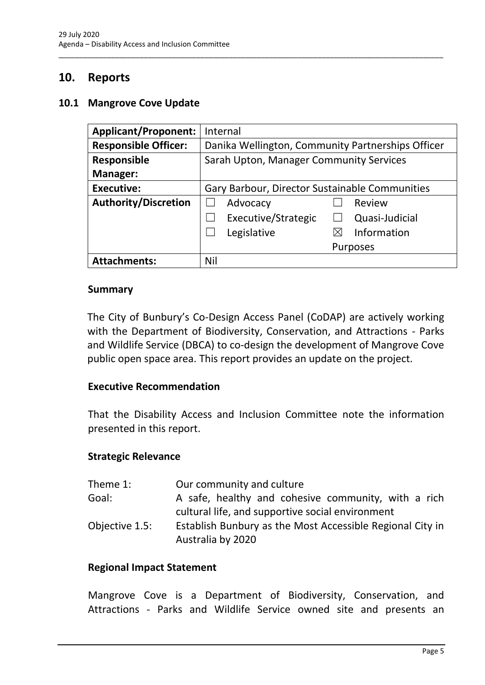## <span id="page-7-0"></span>**10. Reports**

#### <span id="page-7-1"></span>**10.1 Mangrove Cove Update**

| <b>Applicant/Proponent:</b> | Internal                                          |
|-----------------------------|---------------------------------------------------|
| <b>Responsible Officer:</b> | Danika Wellington, Community Partnerships Officer |
| <b>Responsible</b>          | Sarah Upton, Manager Community Services           |
| <b>Manager:</b>             |                                                   |
| <b>Executive:</b>           | Gary Barbour, Director Sustainable Communities    |
| <b>Authority/Discretion</b> | Advocacy<br>Review                                |
|                             | Executive/Strategic<br>Quasi-Judicial             |
|                             | Legislative<br>Information                        |
|                             | <b>Purposes</b>                                   |
| <b>Attachments:</b>         | Nil                                               |

\_\_\_\_\_\_\_\_\_\_\_\_\_\_\_\_\_\_\_\_\_\_\_\_\_\_\_\_\_\_\_\_\_\_\_\_\_\_\_\_\_\_\_\_\_\_\_\_\_\_\_\_\_\_\_\_\_\_\_\_\_\_\_\_\_\_\_\_\_\_\_\_\_\_\_\_\_\_\_\_\_\_\_\_\_\_\_\_\_\_\_\_\_\_\_

#### **Summary**

The City of Bunbury's Co-Design Access Panel (CoDAP) are actively working with the Department of Biodiversity, Conservation, and Attractions - Parks and Wildlife Service (DBCA) to co-design the development of Mangrove Cove public open space area. This report provides an update on the project.

#### **Executive Recommendation**

That the Disability Access and Inclusion Committee note the information presented in this report.

#### **Strategic Relevance**

| Theme 1:       | Our community and culture                                                                               |
|----------------|---------------------------------------------------------------------------------------------------------|
| Goal:          | A safe, healthy and cohesive community, with a rich<br>cultural life, and supportive social environment |
| Objective 1.5: | Establish Bunbury as the Most Accessible Regional City in<br>Australia by 2020                          |

#### **Regional Impact Statement**

Mangrove Cove is a Department of Biodiversity, Conservation, and Attractions - Parks and Wildlife Service owned site and presents an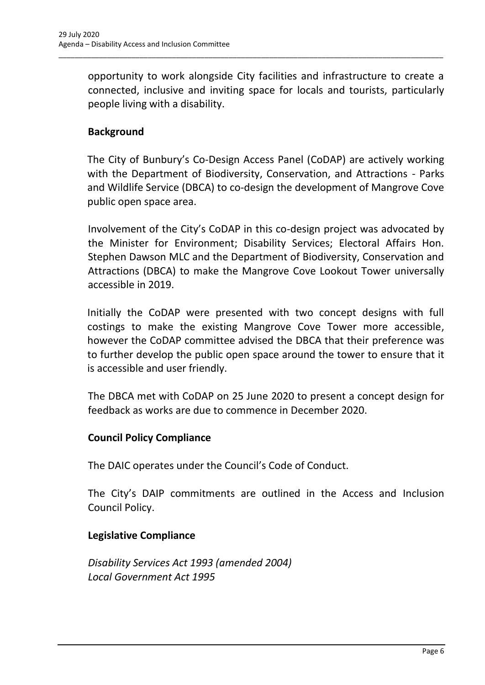opportunity to work alongside City facilities and infrastructure to create a connected, inclusive and inviting space for locals and tourists, particularly people living with a disability.

\_\_\_\_\_\_\_\_\_\_\_\_\_\_\_\_\_\_\_\_\_\_\_\_\_\_\_\_\_\_\_\_\_\_\_\_\_\_\_\_\_\_\_\_\_\_\_\_\_\_\_\_\_\_\_\_\_\_\_\_\_\_\_\_\_\_\_\_\_\_\_\_\_\_\_\_\_\_\_\_\_\_\_\_\_\_\_\_\_\_\_\_\_\_\_

## **Background**

The City of Bunbury's Co-Design Access Panel (CoDAP) are actively working with the Department of Biodiversity, Conservation, and Attractions - Parks and Wildlife Service (DBCA) to co-design the development of Mangrove Cove public open space area.

Involvement of the City's CoDAP in this co-design project was advocated by the Minister for Environment; Disability Services; Electoral Affairs Hon. Stephen Dawson MLC and the Department of Biodiversity, Conservation and Attractions (DBCA) to make the Mangrove Cove Lookout Tower universally accessible in 2019.

Initially the CoDAP were presented with two concept designs with full costings to make the existing Mangrove Cove Tower more accessible, however the CoDAP committee advised the DBCA that their preference was to further develop the public open space around the tower to ensure that it is accessible and user friendly.

The DBCA met with CoDAP on 25 June 2020 to present a concept design for feedback as works are due to commence in December 2020.

## **Council Policy Compliance**

The DAIC operates under the Council's Code of Conduct.

The City's DAIP commitments are outlined in the Access and Inclusion Council Policy.

## **Legislative Compliance**

*Disability Services Act 1993 (amended 2004) Local Government Act 1995*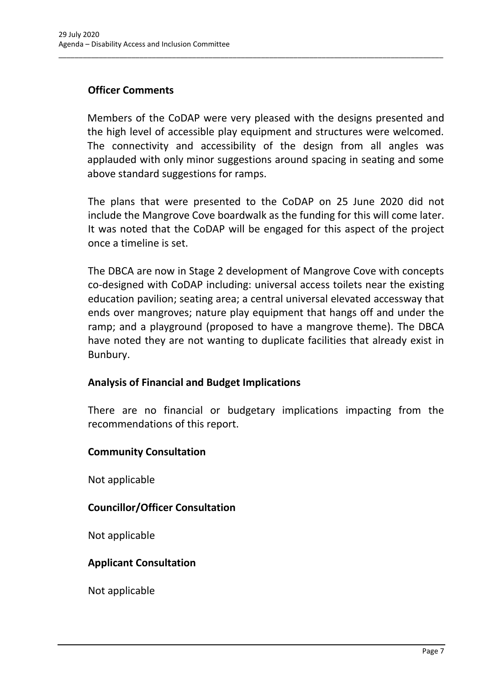## **Officer Comments**

Members of the CoDAP were very pleased with the designs presented and the high level of accessible play equipment and structures were welcomed. The connectivity and accessibility of the design from all angles was applauded with only minor suggestions around spacing in seating and some above standard suggestions for ramps.

\_\_\_\_\_\_\_\_\_\_\_\_\_\_\_\_\_\_\_\_\_\_\_\_\_\_\_\_\_\_\_\_\_\_\_\_\_\_\_\_\_\_\_\_\_\_\_\_\_\_\_\_\_\_\_\_\_\_\_\_\_\_\_\_\_\_\_\_\_\_\_\_\_\_\_\_\_\_\_\_\_\_\_\_\_\_\_\_\_\_\_\_\_\_\_

The plans that were presented to the CoDAP on 25 June 2020 did not include the Mangrove Cove boardwalk as the funding for this will come later. It was noted that the CoDAP will be engaged for this aspect of the project once a timeline is set.

The DBCA are now in Stage 2 development of Mangrove Cove with concepts co-designed with CoDAP including: universal access toilets near the existing education pavilion; seating area; a central universal elevated accessway that ends over mangroves; nature play equipment that hangs off and under the ramp; and a playground (proposed to have a mangrove theme). The DBCA have noted they are not wanting to duplicate facilities that already exist in Bunbury.

## **Analysis of Financial and Budget Implications**

There are no financial or budgetary implications impacting from the recommendations of this report.

## **Community Consultation**

Not applicable

## **Councillor/Officer Consultation**

Not applicable

## **Applicant Consultation**

Not applicable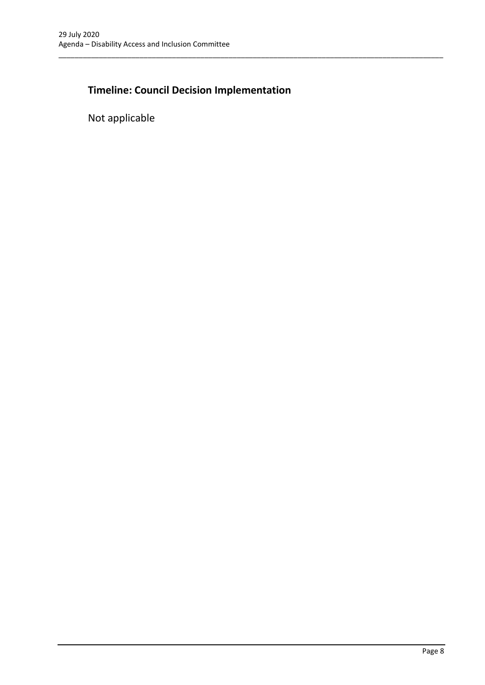## **Timeline: Council Decision Implementation**

\_\_\_\_\_\_\_\_\_\_\_\_\_\_\_\_\_\_\_\_\_\_\_\_\_\_\_\_\_\_\_\_\_\_\_\_\_\_\_\_\_\_\_\_\_\_\_\_\_\_\_\_\_\_\_\_\_\_\_\_\_\_\_\_\_\_\_\_\_\_\_\_\_\_\_\_\_\_\_\_\_\_\_\_\_\_\_\_\_\_\_\_\_\_\_

Not applicable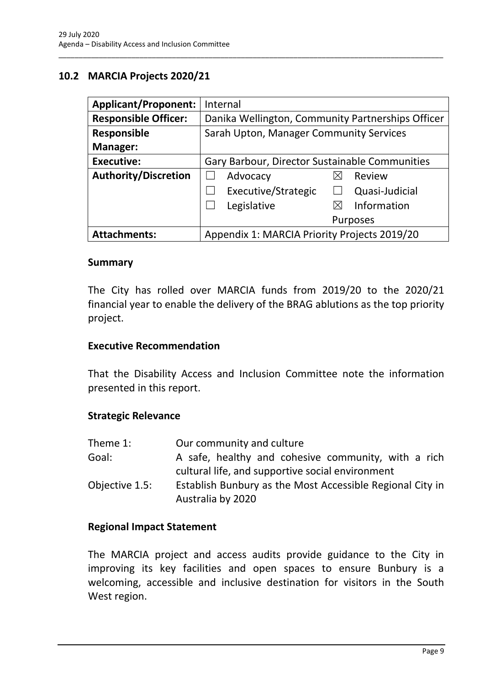## <span id="page-11-0"></span>**10.2 MARCIA Projects 2020/21**

| <b>Applicant/Proponent:</b> | Internal                                          |
|-----------------------------|---------------------------------------------------|
| <b>Responsible Officer:</b> | Danika Wellington, Community Partnerships Officer |
| <b>Responsible</b>          | Sarah Upton, Manager Community Services           |
| Manager:                    |                                                   |
| <b>Executive:</b>           | Gary Barbour, Director Sustainable Communities    |
| <b>Authority/Discretion</b> | Advocacy<br>Review                                |
|                             | Executive/Strategic<br>Quasi-Judicial             |
|                             | Information<br>Legislative<br>$\boxtimes$         |
|                             | <b>Purposes</b>                                   |
| <b>Attachments:</b>         | Appendix 1: MARCIA Priority Projects 2019/20      |

\_\_\_\_\_\_\_\_\_\_\_\_\_\_\_\_\_\_\_\_\_\_\_\_\_\_\_\_\_\_\_\_\_\_\_\_\_\_\_\_\_\_\_\_\_\_\_\_\_\_\_\_\_\_\_\_\_\_\_\_\_\_\_\_\_\_\_\_\_\_\_\_\_\_\_\_\_\_\_\_\_\_\_\_\_\_\_\_\_\_\_\_\_\_\_

#### **Summary**

The City has rolled over MARCIA funds from 2019/20 to the 2020/21 financial year to enable the delivery of the BRAG ablutions as the top priority project.

#### **Executive Recommendation**

That the Disability Access and Inclusion Committee note the information presented in this report.

#### **Strategic Relevance**

| Theme 1:       | Our community and culture                                                                               |
|----------------|---------------------------------------------------------------------------------------------------------|
| Goal:          | A safe, healthy and cohesive community, with a rich<br>cultural life, and supportive social environment |
| Objective 1.5: | Establish Bunbury as the Most Accessible Regional City in<br>Australia by 2020                          |

#### **Regional Impact Statement**

The MARCIA project and access audits provide guidance to the City in improving its key facilities and open spaces to ensure Bunbury is a welcoming, accessible and inclusive destination for visitors in the South West region.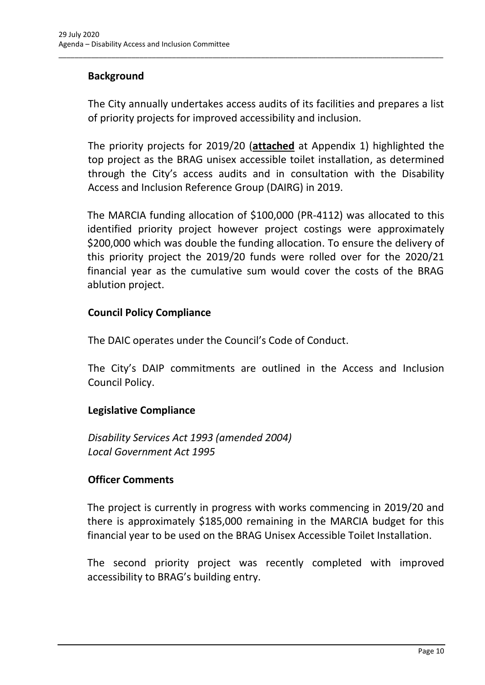## **Background**

The City annually undertakes access audits of its facilities and prepares a list of priority projects for improved accessibility and inclusion.

\_\_\_\_\_\_\_\_\_\_\_\_\_\_\_\_\_\_\_\_\_\_\_\_\_\_\_\_\_\_\_\_\_\_\_\_\_\_\_\_\_\_\_\_\_\_\_\_\_\_\_\_\_\_\_\_\_\_\_\_\_\_\_\_\_\_\_\_\_\_\_\_\_\_\_\_\_\_\_\_\_\_\_\_\_\_\_\_\_\_\_\_\_\_\_

The priority projects for 2019/20 (**attached** at Appendix 1) highlighted the top project as the BRAG unisex accessible toilet installation, as determined through the City's access audits and in consultation with the Disability Access and Inclusion Reference Group (DAIRG) in 2019.

The MARCIA funding allocation of \$100,000 (PR-4112) was allocated to this identified priority project however project costings were approximately \$200,000 which was double the funding allocation. To ensure the delivery of this priority project the 2019/20 funds were rolled over for the 2020/21 financial year as the cumulative sum would cover the costs of the BRAG ablution project.

#### **Council Policy Compliance**

The DAIC operates under the Council's Code of Conduct.

The City's DAIP commitments are outlined in the Access and Inclusion Council Policy.

## **Legislative Compliance**

*Disability Services Act 1993 (amended 2004) Local Government Act 1995*

## **Officer Comments**

The project is currently in progress with works commencing in 2019/20 and there is approximately \$185,000 remaining in the MARCIA budget for this financial year to be used on the BRAG Unisex Accessible Toilet Installation.

The second priority project was recently completed with improved accessibility to BRAG's building entry.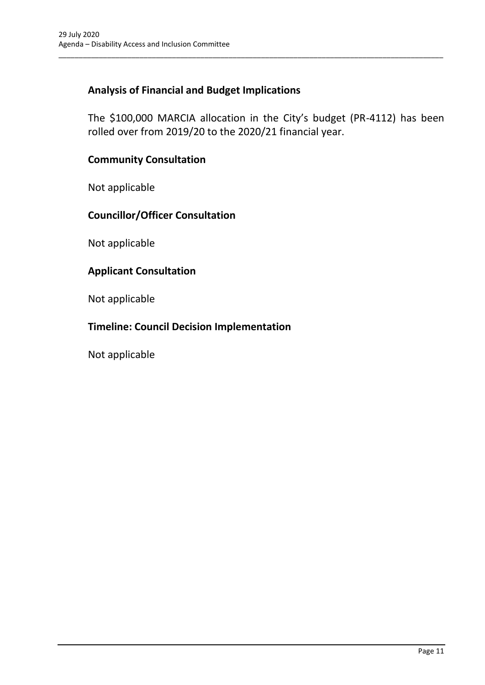## **Analysis of Financial and Budget Implications**

The \$100,000 MARCIA allocation in the City's budget (PR-4112) has been rolled over from 2019/20 to the 2020/21 financial year.

\_\_\_\_\_\_\_\_\_\_\_\_\_\_\_\_\_\_\_\_\_\_\_\_\_\_\_\_\_\_\_\_\_\_\_\_\_\_\_\_\_\_\_\_\_\_\_\_\_\_\_\_\_\_\_\_\_\_\_\_\_\_\_\_\_\_\_\_\_\_\_\_\_\_\_\_\_\_\_\_\_\_\_\_\_\_\_\_\_\_\_\_\_\_\_

## **Community Consultation**

Not applicable

## **Councillor/Officer Consultation**

Not applicable

#### **Applicant Consultation**

Not applicable

## **Timeline: Council Decision Implementation**

Not applicable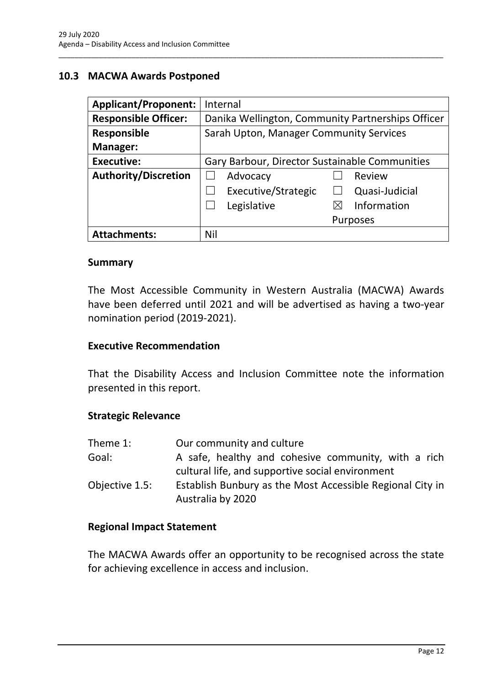## <span id="page-14-0"></span>**10.3 MACWA Awards Postponed**

| <b>Applicant/Proponent:</b> | Internal                                          |
|-----------------------------|---------------------------------------------------|
| <b>Responsible Officer:</b> | Danika Wellington, Community Partnerships Officer |
| <b>Responsible</b>          | Sarah Upton, Manager Community Services           |
| Manager:                    |                                                   |
| <b>Executive:</b>           | Gary Barbour, Director Sustainable Communities    |
| <b>Authority/Discretion</b> | Advocacy<br>Review                                |
|                             | Executive/Strategic<br>Quasi-Judicial             |
|                             | Information<br>Legislative<br>⋉                   |
|                             | <b>Purposes</b>                                   |
| <b>Attachments:</b>         | Nil                                               |

\_\_\_\_\_\_\_\_\_\_\_\_\_\_\_\_\_\_\_\_\_\_\_\_\_\_\_\_\_\_\_\_\_\_\_\_\_\_\_\_\_\_\_\_\_\_\_\_\_\_\_\_\_\_\_\_\_\_\_\_\_\_\_\_\_\_\_\_\_\_\_\_\_\_\_\_\_\_\_\_\_\_\_\_\_\_\_\_\_\_\_\_\_\_\_

#### **Summary**

The Most Accessible Community in Western Australia (MACWA) Awards have been deferred until 2021 and will be advertised as having a two-year nomination period (2019-2021).

#### **Executive Recommendation**

That the Disability Access and Inclusion Committee note the information presented in this report.

#### **Strategic Relevance**

| Theme 1:       | Our community and culture                                                                               |
|----------------|---------------------------------------------------------------------------------------------------------|
| Goal:          | A safe, healthy and cohesive community, with a rich<br>cultural life, and supportive social environment |
| Objective 1.5: | Establish Bunbury as the Most Accessible Regional City in<br>Australia by 2020                          |

#### **Regional Impact Statement**

The MACWA Awards offer an opportunity to be recognised across the state for achieving excellence in access and inclusion.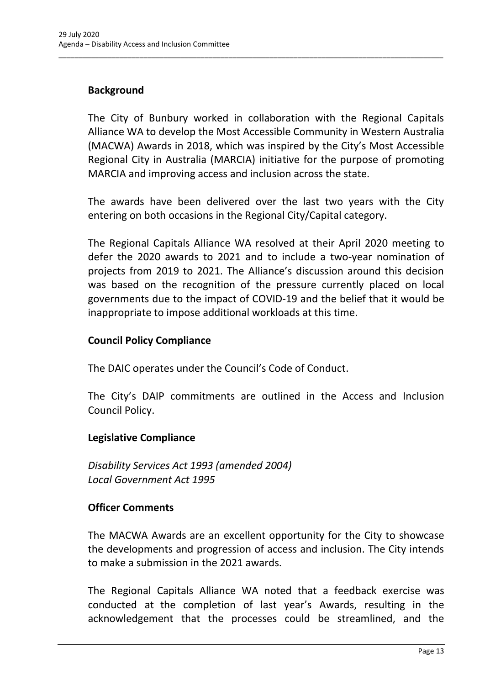## **Background**

The City of Bunbury worked in collaboration with the Regional Capitals Alliance WA to develop the Most Accessible Community in Western Australia (MACWA) Awards in 2018, which was inspired by the City's Most Accessible Regional City in Australia (MARCIA) initiative for the purpose of promoting MARCIA and improving access and inclusion across the state.

\_\_\_\_\_\_\_\_\_\_\_\_\_\_\_\_\_\_\_\_\_\_\_\_\_\_\_\_\_\_\_\_\_\_\_\_\_\_\_\_\_\_\_\_\_\_\_\_\_\_\_\_\_\_\_\_\_\_\_\_\_\_\_\_\_\_\_\_\_\_\_\_\_\_\_\_\_\_\_\_\_\_\_\_\_\_\_\_\_\_\_\_\_\_\_

The awards have been delivered over the last two years with the City entering on both occasions in the Regional City/Capital category.

The Regional Capitals Alliance WA resolved at their April 2020 meeting to defer the 2020 awards to 2021 and to include a two-year nomination of projects from 2019 to 2021. The Alliance's discussion around this decision was based on the recognition of the pressure currently placed on local governments due to the impact of COVID-19 and the belief that it would be inappropriate to impose additional workloads at this time.

## **Council Policy Compliance**

The DAIC operates under the Council's Code of Conduct.

The City's DAIP commitments are outlined in the Access and Inclusion Council Policy.

## **Legislative Compliance**

*Disability Services Act 1993 (amended 2004) Local Government Act 1995*

## **Officer Comments**

The MACWA Awards are an excellent opportunity for the City to showcase the developments and progression of access and inclusion. The City intends to make a submission in the 2021 awards.

The Regional Capitals Alliance WA noted that a feedback exercise was conducted at the completion of last year's Awards, resulting in the acknowledgement that the processes could be streamlined, and the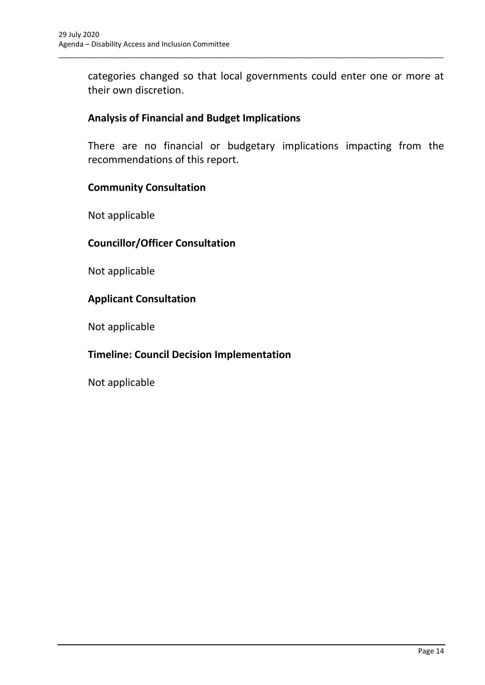categories changed so that local governments could enter one or more at their own discretion.

\_\_\_\_\_\_\_\_\_\_\_\_\_\_\_\_\_\_\_\_\_\_\_\_\_\_\_\_\_\_\_\_\_\_\_\_\_\_\_\_\_\_\_\_\_\_\_\_\_\_\_\_\_\_\_\_\_\_\_\_\_\_\_\_\_\_\_\_\_\_\_\_\_\_\_\_\_\_\_\_\_\_\_\_\_\_\_\_\_\_\_\_\_\_\_

## **Analysis of Financial and Budget Implications**

There are no financial or budgetary implications impacting from the recommendations of this report.

## **Community Consultation**

Not applicable

#### **Councillor/Officer Consultation**

Not applicable

#### **Applicant Consultation**

Not applicable

## **Timeline: Council Decision Implementation**

Not applicable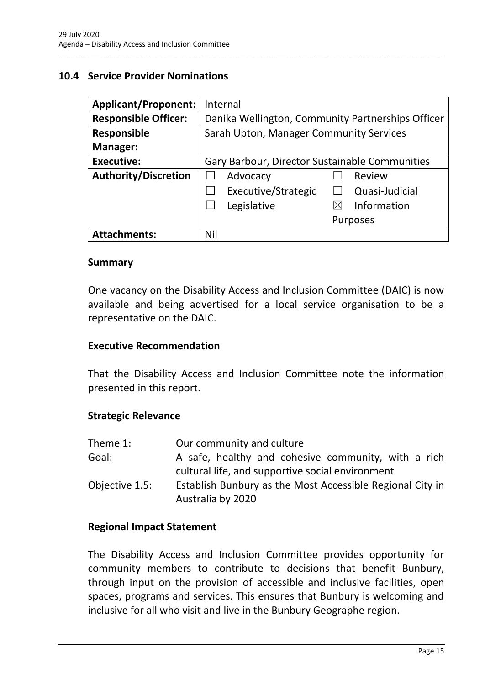## <span id="page-17-0"></span>**10.4 Service Provider Nominations**

| <b>Applicant/Proponent:</b> | Internal                                          |
|-----------------------------|---------------------------------------------------|
| <b>Responsible Officer:</b> | Danika Wellington, Community Partnerships Officer |
| <b>Responsible</b>          | Sarah Upton, Manager Community Services           |
| Manager:                    |                                                   |
| <b>Executive:</b>           | Gary Barbour, Director Sustainable Communities    |
| <b>Authority/Discretion</b> | Advocacy<br>Review                                |
|                             | Executive/Strategic<br>Quasi-Judicial             |
|                             | Information<br>Legislative<br>$\boxtimes$         |
|                             | <b>Purposes</b>                                   |
| <b>Attachments:</b>         | Nil                                               |

\_\_\_\_\_\_\_\_\_\_\_\_\_\_\_\_\_\_\_\_\_\_\_\_\_\_\_\_\_\_\_\_\_\_\_\_\_\_\_\_\_\_\_\_\_\_\_\_\_\_\_\_\_\_\_\_\_\_\_\_\_\_\_\_\_\_\_\_\_\_\_\_\_\_\_\_\_\_\_\_\_\_\_\_\_\_\_\_\_\_\_\_\_\_\_

#### **Summary**

One vacancy on the Disability Access and Inclusion Committee (DAIC) is now available and being advertised for a local service organisation to be a representative on the DAIC.

#### **Executive Recommendation**

That the Disability Access and Inclusion Committee note the information presented in this report.

#### **Strategic Relevance**

| Theme 1:       | Our community and culture                                                                               |
|----------------|---------------------------------------------------------------------------------------------------------|
| Goal:          | A safe, healthy and cohesive community, with a rich<br>cultural life, and supportive social environment |
| Objective 1.5: | Establish Bunbury as the Most Accessible Regional City in<br>Australia by 2020                          |

#### **Regional Impact Statement**

The Disability Access and Inclusion Committee provides opportunity for community members to contribute to decisions that benefit Bunbury, through input on the provision of accessible and inclusive facilities, open spaces, programs and services. This ensures that Bunbury is welcoming and inclusive for all who visit and live in the Bunbury Geographe region.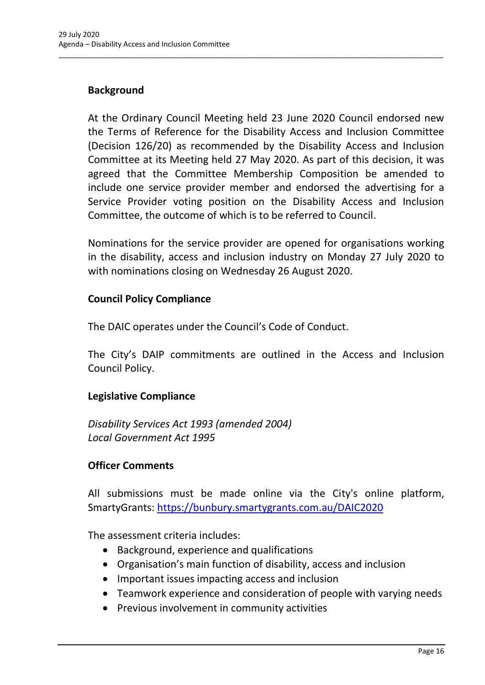## **Background**

At the Ordinary Council Meeting held 23 June 2020 Council endorsed new the Terms of Reference for the Disability Access and Inclusion Committee (Decision 126/20) as recommended by the Disability Access and Inclusion Committee at its Meeting held 27 May 2020. As part of this decision, it was agreed that the Committee Membership Composition be amended to include one service provider member and endorsed the advertising for a Service Provider voting position on the Disability Access and Inclusion Committee, the outcome of which is to be referred to Council.

\_\_\_\_\_\_\_\_\_\_\_\_\_\_\_\_\_\_\_\_\_\_\_\_\_\_\_\_\_\_\_\_\_\_\_\_\_\_\_\_\_\_\_\_\_\_\_\_\_\_\_\_\_\_\_\_\_\_\_\_\_\_\_\_\_\_\_\_\_\_\_\_\_\_\_\_\_\_\_\_\_\_\_\_\_\_\_\_\_\_\_\_\_\_\_

Nominations for the service provider are opened for organisations working in the disability, access and inclusion industry on Monday 27 July 2020 to with nominations closing on Wednesday 26 August 2020.

#### **Council Policy Compliance**

The DAIC operates under the Council's Code of Conduct.

The City's DAIP commitments are outlined in the Access and Inclusion Council Policy.

## **Legislative Compliance**

*Disability Services Act 1993 (amended 2004) Local Government Act 1995*

#### **Officer Comments**

All submissions must be made online via the City's online platform, SmartyGrants:<https://bunbury.smartygrants.com.au/DAIC2020>

The assessment criteria includes:

- Background, experience and qualifications
- Organisation's main function of disability, access and inclusion
- Important issues impacting access and inclusion
- Teamwork experience and consideration of people with varying needs
- Previous involvement in community activities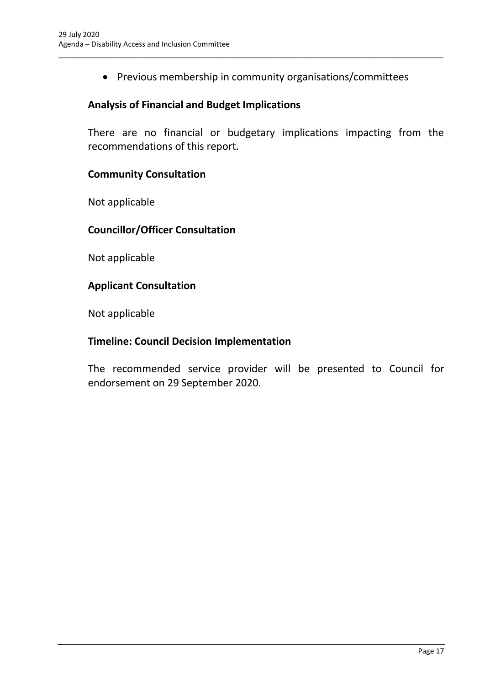• Previous membership in community organisations/committees

\_\_\_\_\_\_\_\_\_\_\_\_\_\_\_\_\_\_\_\_\_\_\_\_\_\_\_\_\_\_\_\_\_\_\_\_\_\_\_\_\_\_\_\_\_\_\_\_\_\_\_\_\_\_\_\_\_\_\_\_\_\_\_\_\_\_\_\_\_\_\_\_\_\_\_\_\_\_\_\_\_\_\_\_\_\_\_\_\_\_\_\_\_\_\_

## **Analysis of Financial and Budget Implications**

There are no financial or budgetary implications impacting from the recommendations of this report.

## **Community Consultation**

Not applicable

## **Councillor/Officer Consultation**

Not applicable

#### **Applicant Consultation**

Not applicable

#### **Timeline: Council Decision Implementation**

The recommended service provider will be presented to Council for endorsement on 29 September 2020.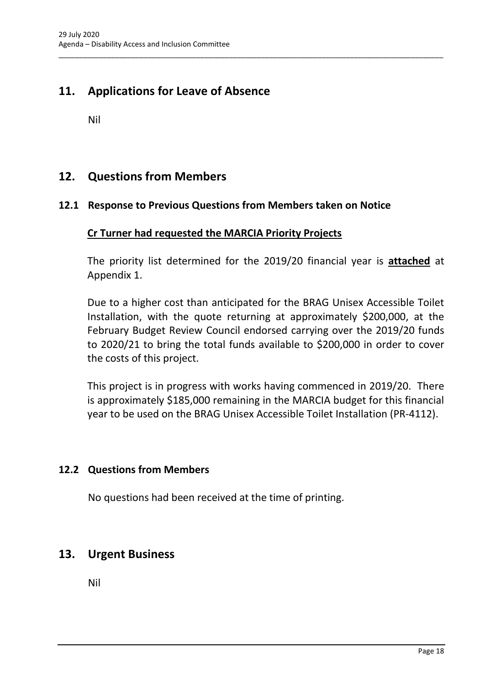## <span id="page-20-0"></span>**11. Applications for Leave of Absence**

Nil

## <span id="page-20-1"></span>**12. Questions from Members**

#### <span id="page-20-2"></span>**12.1 Response to Previous Questions from Members taken on Notice**

\_\_\_\_\_\_\_\_\_\_\_\_\_\_\_\_\_\_\_\_\_\_\_\_\_\_\_\_\_\_\_\_\_\_\_\_\_\_\_\_\_\_\_\_\_\_\_\_\_\_\_\_\_\_\_\_\_\_\_\_\_\_\_\_\_\_\_\_\_\_\_\_\_\_\_\_\_\_\_\_\_\_\_\_\_\_\_\_\_\_\_\_\_\_\_

#### **Cr Turner had requested the MARCIA Priority Projects**

The priority list determined for the 2019/20 financial year is **attached** at Appendix 1.

Due to a higher cost than anticipated for the BRAG Unisex Accessible Toilet Installation, with the quote returning at approximately \$200,000, at the February Budget Review Council endorsed carrying over the 2019/20 funds to 2020/21 to bring the total funds available to \$200,000 in order to cover the costs of this project.

This project is in progress with works having commenced in 2019/20. There is approximately \$185,000 remaining in the MARCIA budget for this financial year to be used on the BRAG Unisex Accessible Toilet Installation (PR-4112).

## <span id="page-20-3"></span>**12.2 Questions from Members**

No questions had been received at the time of printing.

## <span id="page-20-4"></span>**13. Urgent Business**

Nil